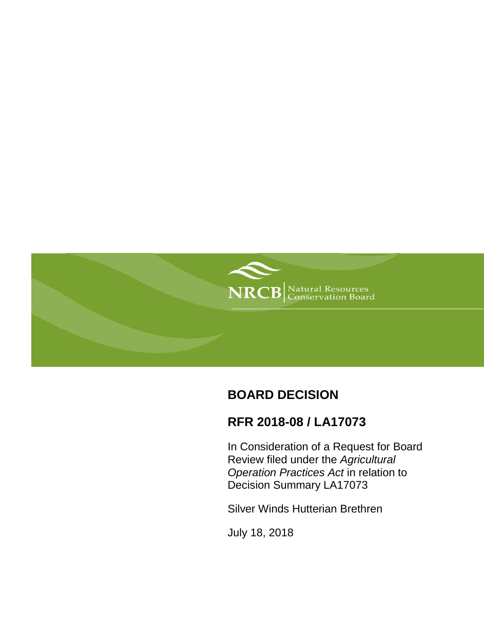

# **BOARD DECISION**

# **RFR 2018-08 / LA17073**

In Consideration of a Request for Board Review filed under the *Agricultural Operation Practices Act* in relation to Decision Summary LA17073

Silver Winds Hutterian Brethren

July 18, 2018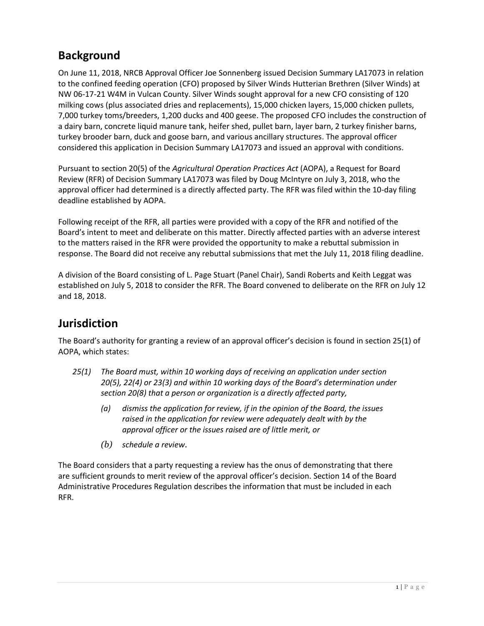# **Background**

On June 11, 2018, NRCB Approval Officer Joe Sonnenberg issued Decision Summary LA17073 in relation to the confined feeding operation (CFO) proposed by Silver Winds Hutterian Brethren (Silver Winds) at NW 06-17-21 W4M in Vulcan County. Silver Winds sought approval for a new CFO consisting of 120 milking cows (plus associated dries and replacements), 15,000 chicken layers, 15,000 chicken pullets, 7,000 turkey toms/breeders, 1,200 ducks and 400 geese. The proposed CFO includes the construction of a dairy barn, concrete liquid manure tank, heifer shed, pullet barn, layer barn, 2 turkey finisher barns, turkey brooder barn, duck and goose barn, and various ancillary structures. The approval officer considered this application in Decision Summary LA17073 and issued an approval with conditions.

Pursuant to section 20(5) of the *Agricultural Operation Practices Act* (AOPA), a Request for Board Review (RFR) of Decision Summary LA17073 was filed by Doug McIntyre on July 3, 2018, who the approval officer had determined is a directly affected party. The RFR was filed within the 10-day filing deadline established by AOPA.

Following receipt of the RFR, all parties were provided with a copy of the RFR and notified of the Board's intent to meet and deliberate on this matter. Directly affected parties with an adverse interest to the matters raised in the RFR were provided the opportunity to make a rebuttal submission in response. The Board did not receive any rebuttal submissions that met the July 11, 2018 filing deadline.

A division of the Board consisting of L. Page Stuart (Panel Chair), Sandi Roberts and Keith Leggat was established on July 5, 2018 to consider the RFR. The Board convened to deliberate on the RFR on July 12 and 18, 2018.

## **Jurisdiction**

The Board's authority for granting a review of an approval officer's decision is found in section 25(1) of AOPA, which states:

- *25(1) The Board must, within 10 working days of receiving an application under section 20(5), 22(4) or 23(3) and within 10 working days of the Board's determination under section 20(8) that a person or organization is a directly affected party,*
	- *(a) dismiss the application for review, if in the opinion of the Board, the issues raised in the application for review were adequately dealt with by the approval officer or the issues raised are of little merit, or*
	- *(b) schedule a review.*

The Board considers that a party requesting a review has the onus of demonstrating that there are sufficient grounds to merit review of the approval officer's decision. Section 14 of the Board Administrative Procedures Regulation describes the information that must be included in each RFR.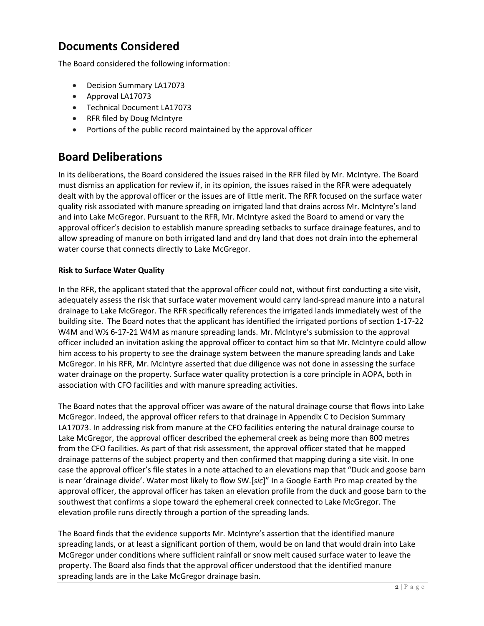## **Documents Considered**

The Board considered the following information:

- Decision Summary LA17073
- Approval LA17073
- Technical Document LA17073
- RFR filed by Doug McIntyre
- Portions of the public record maintained by the approval officer

## **Board Deliberations**

In its deliberations, the Board considered the issues raised in the RFR filed by Mr. McIntyre. The Board must dismiss an application for review if, in its opinion, the issues raised in the RFR were adequately dealt with by the approval officer or the issues are of little merit. The RFR focused on the surface water quality risk associated with manure spreading on irrigated land that drains across Mr. McIntyre's land and into Lake McGregor. Pursuant to the RFR, Mr. McIntyre asked the Board to amend or vary the approval officer's decision to establish manure spreading setbacks to surface drainage features, and to allow spreading of manure on both irrigated land and dry land that does not drain into the ephemeral water course that connects directly to Lake McGregor.

### **Risk to Surface Water Quality**

In the RFR, the applicant stated that the approval officer could not, without first conducting a site visit, adequately assess the risk that surface water movement would carry land-spread manure into a natural drainage to Lake McGregor. The RFR specifically references the irrigated lands immediately west of the building site. The Board notes that the applicant has identified the irrigated portions of section 1-17-22 W4M and W½ 6-17-21 W4M as manure spreading lands. Mr. McIntyre's submission to the approval officer included an invitation asking the approval officer to contact him so that Mr. McIntyre could allow him access to his property to see the drainage system between the manure spreading lands and Lake McGregor. In his RFR, Mr. McIntyre asserted that due diligence was not done in assessing the surface water drainage on the property. Surface water quality protection is a core principle in AOPA, both in association with CFO facilities and with manure spreading activities.

The Board notes that the approval officer was aware of the natural drainage course that flows into Lake McGregor. Indeed, the approval officer refers to that drainage in Appendix C to Decision Summary LA17073. In addressing risk from manure at the CFO facilities entering the natural drainage course to Lake McGregor, the approval officer described the ephemeral creek as being more than 800 metres from the CFO facilities. As part of that risk assessment, the approval officer stated that he mapped drainage patterns of the subject property and then confirmed that mapping during a site visit. In one case the approval officer's file states in a note attached to an elevations map that "Duck and goose barn is near 'drainage divide'. Water most likely to flow SW.[*sic*]" In a Google Earth Pro map created by the approval officer, the approval officer has taken an elevation profile from the duck and goose barn to the southwest that confirms a slope toward the ephemeral creek connected to Lake McGregor. The elevation profile runs directly through a portion of the spreading lands.

The Board finds that the evidence supports Mr. McIntyre's assertion that the identified manure spreading lands, or at least a significant portion of them, would be on land that would drain into Lake McGregor under conditions where sufficient rainfall or snow melt caused surface water to leave the property. The Board also finds that the approval officer understood that the identified manure spreading lands are in the Lake McGregor drainage basin.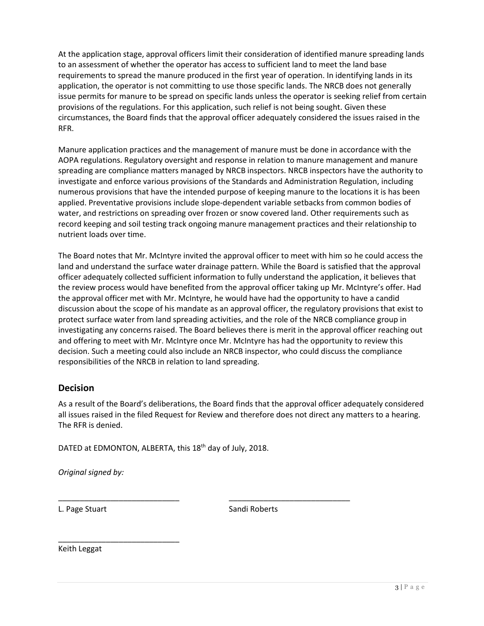At the application stage, approval officers limit their consideration of identified manure spreading lands to an assessment of whether the operator has access to sufficient land to meet the land base requirements to spread the manure produced in the first year of operation. In identifying lands in its application, the operator is not committing to use those specific lands. The NRCB does not generally issue permits for manure to be spread on specific lands unless the operator is seeking relief from certain provisions of the regulations. For this application, such relief is not being sought. Given these circumstances, the Board finds that the approval officer adequately considered the issues raised in the RFR.

Manure application practices and the management of manure must be done in accordance with the AOPA regulations. Regulatory oversight and response in relation to manure management and manure spreading are compliance matters managed by NRCB inspectors. NRCB inspectors have the authority to investigate and enforce various provisions of the Standards and Administration Regulation, including numerous provisions that have the intended purpose of keeping manure to the locations it is has been applied. Preventative provisions include slope-dependent variable setbacks from common bodies of water, and restrictions on spreading over frozen or snow covered land. Other requirements such as record keeping and soil testing track ongoing manure management practices and their relationship to nutrient loads over time.

The Board notes that Mr. McIntyre invited the approval officer to meet with him so he could access the land and understand the surface water drainage pattern. While the Board is satisfied that the approval officer adequately collected sufficient information to fully understand the application, it believes that the review process would have benefited from the approval officer taking up Mr. McIntyre's offer. Had the approval officer met with Mr. McIntyre, he would have had the opportunity to have a candid discussion about the scope of his mandate as an approval officer, the regulatory provisions that exist to protect surface water from land spreading activities, and the role of the NRCB compliance group in investigating any concerns raised. The Board believes there is merit in the approval officer reaching out and offering to meet with Mr. McIntyre once Mr. McIntyre has had the opportunity to review this decision. Such a meeting could also include an NRCB inspector, who could discuss the compliance responsibilities of the NRCB in relation to land spreading.

## **Decision**

As a result of the Board's deliberations, the Board finds that the approval officer adequately considered all issues raised in the filed Request for Review and therefore does not direct any matters to a hearing. The RFR is denied.

DATED at EDMONTON, ALBERTA, this 18<sup>th</sup> day of July, 2018.

\_\_\_\_\_\_\_\_\_\_\_\_\_\_\_\_\_\_\_\_\_\_\_\_\_\_\_\_ \_\_\_\_\_\_\_\_\_\_\_\_\_\_\_\_\_\_\_\_\_\_\_\_\_\_\_\_

*Original signed by:*

\_\_\_\_\_\_\_\_\_\_\_\_\_\_\_\_\_\_\_\_\_\_\_\_\_\_\_\_

L. Page Stuart Sandi Roberts

Keith Leggat